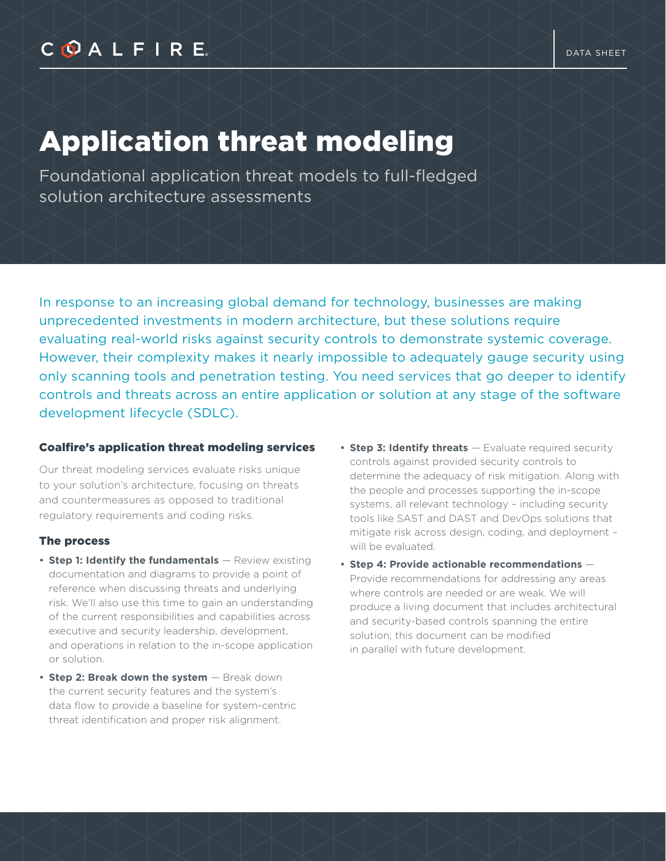# Application threat modeling

Foundational application threat models to full-fledged solution architecture assessments

In response to an increasing global demand for technology, businesses are making unprecedented investments in modern architecture, but these solutions require evaluating real-world risks against security controls to demonstrate systemic coverage. However, their complexity makes it nearly impossible to adequately gauge security using only scanning tools and penetration testing. You need services that go deeper to identify controls and threats across an entire application or solution at any stage of the software development lifecycle (SDLC).

#### Coalfire's application threat modeling services

Our threat modeling services evaluate risks unique to your solution's architecture, focusing on threats and countermeasures as opposed to traditional regulatory requirements and coding risks.

### The process

- **Step 1: Identify the fundamentals** Review existing documentation and diagrams to provide a point of reference when discussing threats and underlying risk. We'll also use this time to gain an understanding of the current responsibilities and capabilities across executive and security leadership, development, and operations in relation to the in-scope application or solution.
- **Step 2: Break down the system** Break down the current security features and the system's data flow to provide a baseline for system-centric threat identification and proper risk alignment.
- **Step 3: Identify threats**  Evaluate required security controls against provided security controls to determine the adequacy of risk mitigation. Along with the people and processes supporting the in-scope systems, all relevant technology – including security tools like SAST and DAST and DevOps solutions that mitigate risk across design, coding, and deployment – will be evaluated.
- **Step 4: Provide actionable recommendations** Provide recommendations for addressing any areas where controls are needed or are weak. We will produce a living document that includes architectural and security-based controls spanning the entire solution; this document can be modified in parallel with future development.